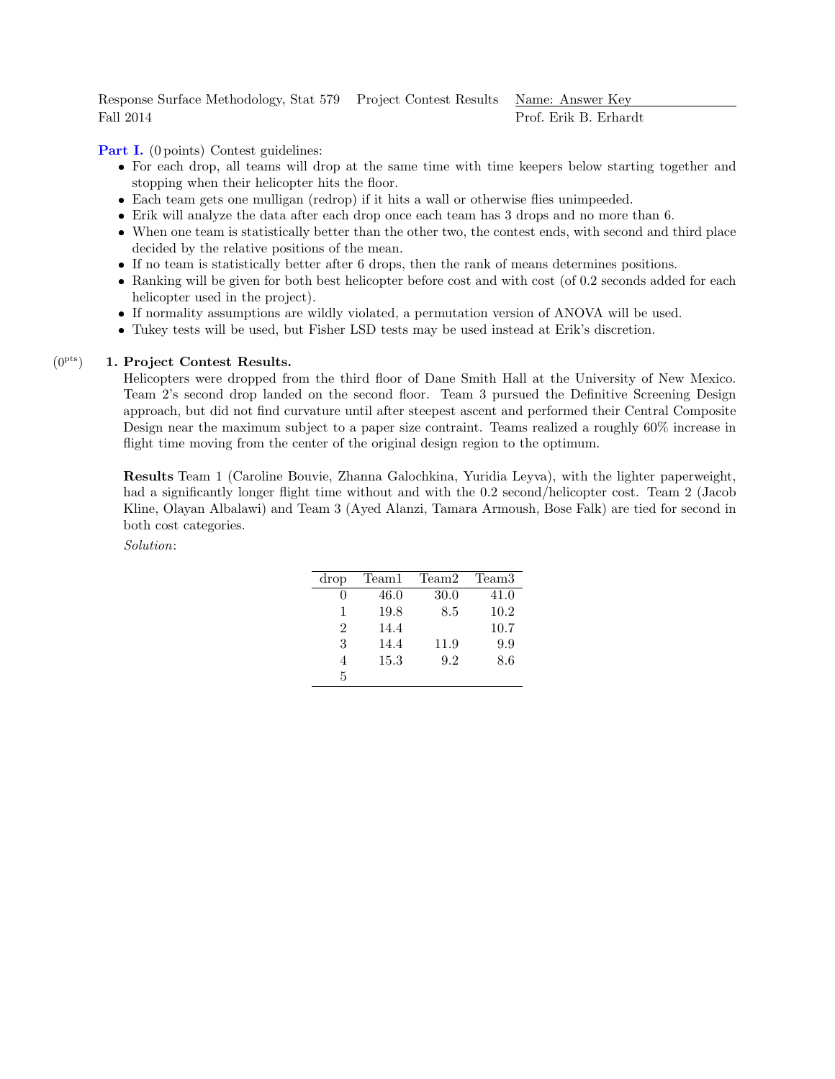Response Surface Methodology, Stat 579 Project Contest Results Name: Answer Key Fall 2014 Prof. Erik B. Erhardt

Part I. (0 points) Contest guidelines:

- For each drop, all teams will drop at the same time with time keepers below starting together and stopping when their helicopter hits the floor.
- Each team gets one mulligan (redrop) if it hits a wall or otherwise flies unimpeeded.
- Erik will analyze the data after each drop once each team has 3 drops and no more than 6.
- When one team is statistically better than the other two, the contest ends, with second and third place decided by the relative positions of the mean.
- If no team is statistically better after 6 drops, then the rank of means determines positions.
- Ranking will be given for both best helicopter before cost and with cost (of 0.2 seconds added for each helicopter used in the project).
- If normality assumptions are wildly violated, a permutation version of ANOVA will be used.
- Tukey tests will be used, but Fisher LSD tests may be used instead at Erik's discretion.

## $(0^{pts})$ 1. Project Contest Results.

Helicopters were dropped from the third floor of Dane Smith Hall at the University of New Mexico. Team 2's second drop landed on the second floor. Team 3 pursued the Definitive Screening Design approach, but did not find curvature until after steepest ascent and performed their Central Composite Design near the maximum subject to a paper size contraint. Teams realized a roughly 60% increase in flight time moving from the center of the original design region to the optimum.

Results Team 1 (Caroline Bouvie, Zhanna Galochkina, Yuridia Leyva), with the lighter paperweight, had a significantly longer flight time without and with the 0.2 second/helicopter cost. Team 2 (Jacob Kline, Olayan Albalawi) and Team 3 (Ayed Alanzi, Tamara Armoush, Bose Falk) are tied for second in both cost categories.

## Solution:

| drop           | Team1 | Team2 | Team3 |
|----------------|-------|-------|-------|
|                | 46.0  | 30.0  | 41.0  |
| 1              | 19.8  | 8.5   | 10.2  |
| $\mathfrak{D}$ | 14.4  |       | 10.7  |
| 3              | 14.4  | 11.9  | 9.9   |
|                | 15.3  | 9.2   | 8.6   |
| 5              |       |       |       |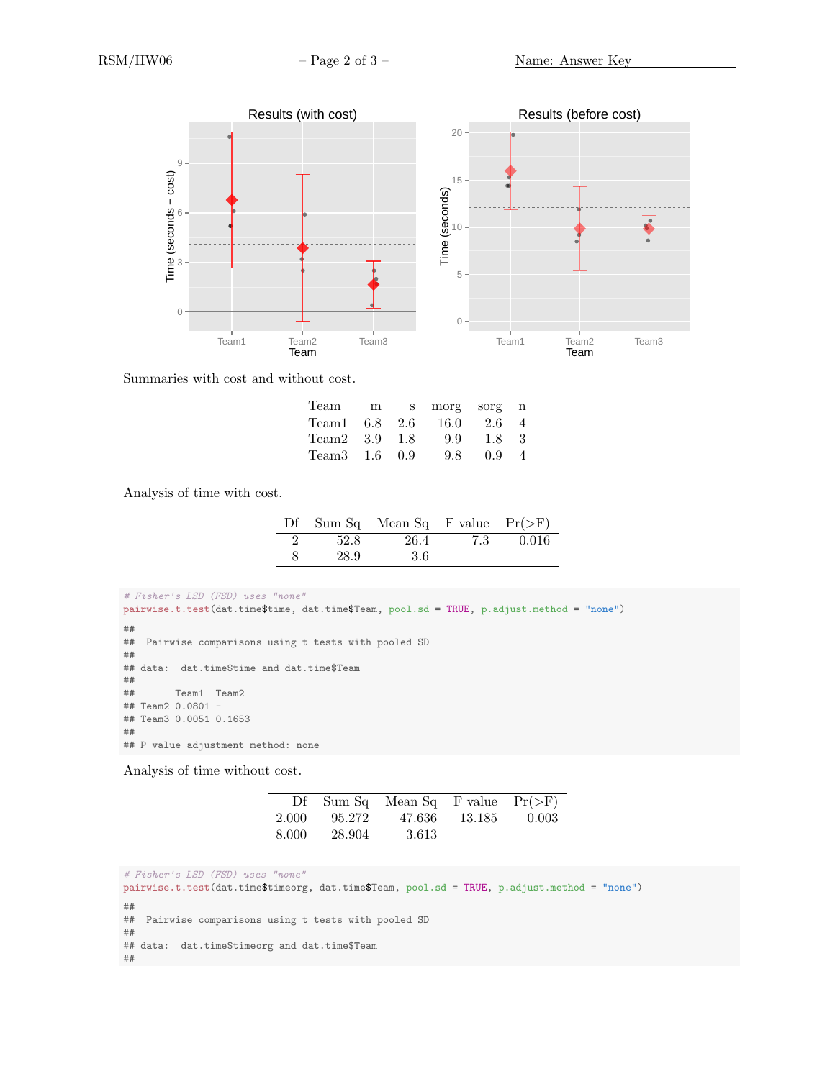

Summaries with cost and without cost.

| Team  | m    | S    | morg | sorg |    |
|-------|------|------|------|------|----|
| Team1 | 6.8  | -2.6 | 16.0 | 2.6  |    |
| Team2 | -3.9 | 1.8  | 9.9  | 1.8  | -3 |
| Team3 | -1.6 | 0.9  | 9.8  | 0.9  |    |

Analysis of time with cost.

|   |      | Df Sum Sq Mean Sq F value $Pr(\geq F)$ |     |       |
|---|------|----------------------------------------|-----|-------|
|   | 52.8 | 26.4                                   | 7.3 | 0.016 |
| 8 | 28.9 | 3.6                                    |     |       |

```
# Fisher's LSD (FSD) uses "none"
pairwise.t.test(dat.time$time, dat.time$Team, pool.sd = TRUE, p.adjust.method = "none")
##
## Pairwise comparisons using t tests with pooled SD
##
## data: dat.time$time and dat.time$Team
##
## Team1 Team2
## Team2 0.0801 -
## Team3 0.0051 0.1653
##
## P value adjustment method: none
```
Analysis of time without cost.

|       |        | Df Sum Sq Mean Sq F value $Pr(\geq F)$ |         |       |
|-------|--------|----------------------------------------|---------|-------|
| 2.000 | 95.272 | 47.636                                 | -13.185 | 0.003 |
| 8.000 | 28.904 | 3.613                                  |         |       |

```
# Fisher's LSD (FSD) uses "none"
pairwise.t.test(dat.time$timeorg, dat.time$Team, pool.sd = TRUE, p.adjust.method = "none")
##
## Pairwise comparisons using t tests with pooled SD
##
## data: dat.time$timeorg and dat.time$Team
##
```